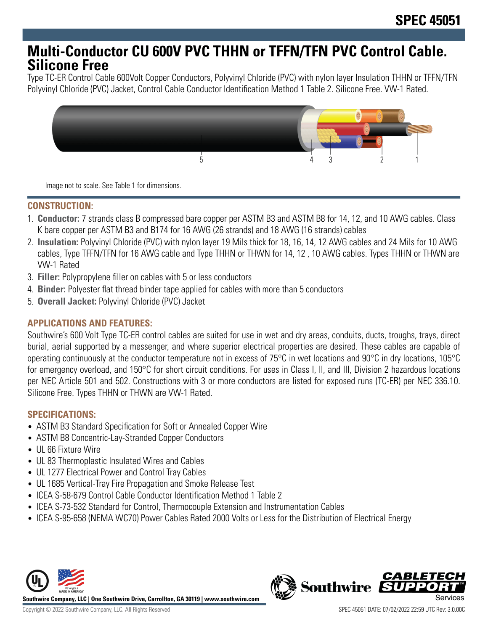## **Multi-Conductor CU 600V PVC THHN or TFFN/TFN PVC Control Cable. Silicone Free**

Type TC-ER Control Cable 600Volt Copper Conductors, Polyvinyl Chloride (PVC) with nylon layer Insulation THHN or TFFN/TFN Polyvinyl Chloride (PVC) Jacket, Control Cable Conductor Identification Method 1 Table 2. Silicone Free. VW-1 Rated.



Image not to scale. See Table 1 for dimensions.

## **CONSTRUCTION:**

- 1. **Conductor:** 7 strands class B compressed bare copper per ASTM B3 and ASTM B8 for 14, 12, and 10 AWG cables. Class K bare copper per ASTM B3 and B174 for 16 AWG (26 strands) and 18 AWG (16 strands) cables
- 2. **Insulation:** Polyvinyl Chloride (PVC) with nylon layer 19 Mils thick for 18, 16, 14, 12 AWG cables and 24 Mils for 10 AWG cables, Type TFFN/TFN for 16 AWG cable and Type THHN or THWN for 14, 12 , 10 AWG cables. Types THHN or THWN are VW-1 Rated
- 3. **Filler:** Polypropylene filler on cables with 5 or less conductors
- 4. **Binder:** Polyester flat thread binder tape applied for cables with more than 5 conductors
- 5. **Overall Jacket:** Polyvinyl Chloride (PVC) Jacket

## **APPLICATIONS AND FEATURES:**

Southwire's 600 Volt Type TC-ER control cables are suited for use in wet and dry areas, conduits, ducts, troughs, trays, direct burial, aerial supported by a messenger, and where superior electrical properties are desired. These cables are capable of operating continuously at the conductor temperature not in excess of 75°C in wet locations and 90°C in dry locations, 105°C for emergency overload, and 150°C for short circuit conditions. For uses in Class I, II, and III, Division 2 hazardous locations per NEC Article 501 and 502. Constructions with 3 or more conductors are listed for exposed runs (TC-ER) per NEC 336.10. Silicone Free. Types THHN or THWN are VW-1 Rated.

#### **SPECIFICATIONS:**

- ASTM B3 Standard Specification for Soft or Annealed Copper Wire
- ASTM B8 Concentric-Lay-Stranded Copper Conductors
- UL 66 Fixture Wire
- UL 83 Thermoplastic Insulated Wires and Cables
- UL 1277 Electrical Power and Control Tray Cables
- UL 1685 Vertical-Tray Fire Propagation and Smoke Release Test
- ICEA S-58-679 Control Cable Conductor Identification Method 1 Table 2
- ICEA S-73-532 Standard for Control, Thermocouple Extension and Instrumentation Cables
- ICEA S-95-658 (NEMA WC70) Power Cables Rated 2000 Volts or Less for the Distribution of Electrical Energy



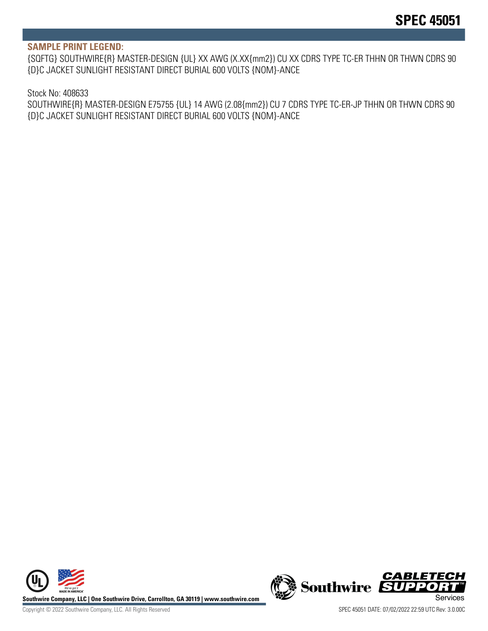#### **SAMPLE PRINT LEGEND:**

{SQFTG} SOUTHWIRE{R} MASTER-DESIGN {UL} XX AWG (X.XX{mm2}) CU XX CDRS TYPE TC-ER THHN OR THWN CDRS 90 {D}C JACKET SUNLIGHT RESISTANT DIRECT BURIAL 600 VOLTS {NOM}-ANCE

#### Stock No: 408633

SOUTHWIRE{R} MASTER-DESIGN E75755 {UL} 14 AWG (2.08{mm2}) CU 7 CDRS TYPE TC-ER-JP THHN OR THWN CDRS 90 {D}C JACKET SUNLIGHT RESISTANT DIRECT BURIAL 600 VOLTS {NOM}-ANCE



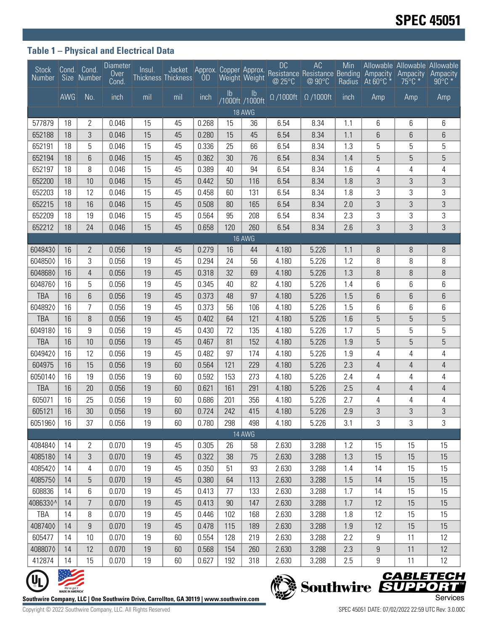## **Table 1 – Physical and Electrical Data**

| <b>Stock</b><br>Number                       |                  | Cond. Cond.<br>Size Number | Diameter<br>Uver<br>Cond. | Insul. | Thickness Thickness                                                                   |       |               | Weight Weight                    | <b>DC</b><br>@ 25°C | AC<br>Jacket Approx. Copper Approx. Resistance Resistance Bending Ampacity<br>@90°C | Min<br>Radius | $\overline{A}$ t 60°C $*$ | Allowable Allowable Allowable<br>Ampacity<br>$75^{\circ}$ C * | Ampacity<br>$90^{\circ}$ C * |
|----------------------------------------------|------------------|----------------------------|---------------------------|--------|---------------------------------------------------------------------------------------|-------|---------------|----------------------------------|---------------------|-------------------------------------------------------------------------------------|---------------|---------------------------|---------------------------------------------------------------|------------------------------|
|                                              | <b>AWG</b>       | No.                        | inch                      | mil    | mil                                                                                   | inch  | $\mathsf{lb}$ | $\mathsf{lb}$<br>/1000ft /1000ft |                     | $\Omega$ /1000ft $\Omega$ /1000ft                                                   | inch          | Amp                       | Amp                                                           | Amp                          |
| <b>18 AWG</b>                                |                  |                            |                           |        |                                                                                       |       |               |                                  |                     |                                                                                     |               |                           |                                                               |                              |
| 577879                                       | 18               | 2                          | 0.046                     | 15     | 45                                                                                    | 0.268 | 15            | 36                               | 6.54                | 8.34                                                                                | 1.1           | 6                         | 6                                                             | 6                            |
| 652188                                       | 18               | $\sqrt{3}$                 | 0.046                     | 15     | 45                                                                                    | 0.280 | 15            | 45                               | 6.54                | 8.34                                                                                | 1.1           | 6                         | 6                                                             | 6                            |
| 652191                                       | 18               | 5                          | 0.046                     | 15     | 45                                                                                    | 0.336 | 25            | 66                               | 6.54                | 8.34                                                                                | 1.3           | 5                         | 5                                                             | 5                            |
| 652194                                       | 18               | 6                          | 0.046                     | 15     | 45                                                                                    | 0.362 | 30            | 76                               | 6.54                | 8.34                                                                                | 1.4           | 5                         | 5                                                             | 5                            |
| 652197                                       | 18               | 8                          | 0.046                     | 15     | 45                                                                                    | 0.389 | 40            | 94                               | 6.54                | 8.34                                                                                | 1.6           | 4                         | 4                                                             | 4                            |
| 652200                                       | 18               | 10                         | 0.046                     | 15     | 45                                                                                    | 0.442 | 50            | 116                              | 6.54                | 8.34                                                                                | 1.8           | 3                         | 3                                                             | 3                            |
| 652203                                       | 18               | 12                         | 0.046                     | 15     | 45                                                                                    | 0.458 | 60            | 131                              | 6.54                | 8.34                                                                                | 1.8           | 3                         | 3                                                             | 3                            |
| 652215                                       | 18               | 16                         | 0.046                     | 15     | 45                                                                                    | 0.508 | 80            | 165                              | 6.54                | 8.34                                                                                | 2.0           | 3                         | 3                                                             | 3                            |
| 652209                                       | 18               | 19                         | 0.046                     | 15     | 45                                                                                    | 0.564 | 95            | 208                              | 6.54                | 8.34                                                                                | 2.3           | 3                         | 3                                                             | 3                            |
| 652212                                       | 18               | 24                         | 0.046                     | 15     | 45                                                                                    | 0.658 | 120           | 260                              | 6.54                | 8.34                                                                                | 2.6           | 3                         | 3                                                             | 3                            |
| 16 AWG                                       |                  |                            |                           |        |                                                                                       |       |               |                                  |                     |                                                                                     |               |                           |                                                               |                              |
| 6048430                                      | 16               | $\mathbf{2}$               | 0.056                     | 19     | 45                                                                                    | 0.279 | 16            | 44                               | 4.180               | 5.226                                                                               | 1.1           | 8                         | 8                                                             | 8                            |
| 6048500                                      | 16               | 3                          | 0.056                     | 19     | 45                                                                                    | 0.294 | 24            | 56                               | 4.180               | 5.226                                                                               | 1.2           | 8                         | 8                                                             | 8                            |
| 6048680                                      | 16               | $\overline{4}$             | 0.056                     | 19     | 45                                                                                    | 0.318 | 32            | 69                               | 4.180               | 5.226                                                                               | 1.3           | 8                         | 8                                                             | 8                            |
| 6048760                                      | 16               | 5                          | 0.056                     | 19     | 45                                                                                    | 0.345 | 40            | 82                               | 4.180               | 5.226                                                                               | 1.4           | 6                         | 6                                                             | 6                            |
| <b>TBA</b>                                   | 16               | 6                          | 0.056                     | 19     | 45                                                                                    | 0.373 | 48            | 97                               | 4.180               | 5.226                                                                               | 1.5           | 6                         | 6                                                             | 6                            |
| 6048920                                      | 16               | 7                          | 0.056                     | 19     | 45                                                                                    | 0.373 | 56            | 106                              | 4.180               | 5.226                                                                               | 1.5           | 6                         | 6                                                             | 6                            |
| <b>TBA</b>                                   | 16               | 8                          | 0.056                     | 19     | 45                                                                                    | 0.402 | 64            | 121                              | 4.180               | 5.226                                                                               | 1.6           | 5                         | 5                                                             | 5                            |
| 6049180                                      | 16               | 9                          | 0.056                     | 19     | 45                                                                                    | 0.430 | 72            | 135                              | 4.180               | 5.226                                                                               | 1.7           | 5                         | 5                                                             | 5                            |
| <b>TBA</b>                                   | 16               | 10                         | 0.056                     | 19     | 45                                                                                    | 0.467 | 81            | 152                              | 4.180               | 5.226                                                                               | 1.9           | 5                         | 5                                                             | 5                            |
| 6049420                                      | 16               | 12                         | 0.056                     | 19     | 45                                                                                    | 0.482 | 97            | 174                              | 4.180               | 5.226                                                                               | 1.9           | 4                         | 4                                                             | 4                            |
| 604975                                       | 16               | 15                         | 0.056                     | 19     | 60                                                                                    | 0.564 | 121           | 229                              | 4.180               | 5.226                                                                               | 2.3           | 4                         | $\overline{4}$                                                | $\overline{4}$               |
| 6050140                                      | 16               | 19                         | 0.056                     | 19     | 60                                                                                    | 0.592 | 153           | 273                              | 4.180               | 5.226                                                                               | 2.4           | 4                         | 4                                                             | 4                            |
| <b>TBA</b>                                   | 16               | 20                         | 0.056                     | 19     | 60                                                                                    | 0.621 | 161           | 291                              | 4.180               | 5.226                                                                               | 2.5           | 4                         | 4                                                             | 4                            |
| 605071                                       | 16               | 25                         | 0.056                     | 19     | 60                                                                                    | 0.686 | 201           | 356                              | 4.180               | 5.226                                                                               | 2.7           | 4                         | 4                                                             | 4                            |
| 605121                                       | 16               | 30                         | 0.056                     | 19     | 60                                                                                    | 0.724 | 242           | 415                              | 4.180               | 5.226                                                                               | 2.9           | 3                         | 3                                                             | 3                            |
| 6051960                                      | 16               | 37                         | 0.056                     | 19     | 60                                                                                    | 0.780 | 298           | 498                              | 4.180               | 5.226                                                                               | 3.1           | 3                         | 3                                                             | 3                            |
| 14 AWG                                       |                  |                            |                           |        |                                                                                       |       |               |                                  |                     |                                                                                     |               |                           |                                                               |                              |
| 4084840                                      | 14               | $\overline{2}$             | 0.070                     | 19     | 45                                                                                    | 0.305 | 26            | 58                               | 2.630               | 3.288                                                                               | 1.2           | 15                        | 15                                                            | 15                           |
| 4085180                                      | 14               | 3                          | 0.070                     | 19     | 45                                                                                    | 0.322 | 38            | 75                               | 2.630               | 3.288                                                                               | 1.3           | 15                        | 15                                                            | 15                           |
| 4085420                                      | 14               | 4                          | 0.070                     | 19     | 45                                                                                    | 0.350 | 51            | 93                               | 2.630               | 3.288                                                                               | 1.4           | 14                        | 15                                                            | 15                           |
| 4085750                                      | 14               | 5                          | 0.070                     | 19     | 45                                                                                    | 0.380 | 64            | 113                              | 2.630               | 3.288                                                                               | 1.5           | 14                        | 15                                                            | 15                           |
| 608836                                       | 14               | 6                          | 0.070                     | 19     | 45                                                                                    | 0.413 | 77            | 133                              | 2.630               | 3.288                                                                               | 1.7           | 14                        | 15                                                            | 15                           |
| 4086330^                                     | 14               | $\overline{7}$             | 0.070                     | 19     | 45                                                                                    | 0.413 | 90            | 147                              | 2.630               | 3.288                                                                               | 1.7           | 12                        | 15                                                            | 15                           |
| TBA                                          | 14               | 8                          | 0.070                     | 19     | 45                                                                                    | 0.446 | 102           | 168                              | 2.630               | 3.288                                                                               | 1.8           | 12                        | 15                                                            | 15                           |
| 4087400                                      | 14               | 9                          | 0.070                     | 19     | 45                                                                                    | 0.478 | 115           | 189                              | 2.630               | 3.288                                                                               | 1.9           | 12                        | 15                                                            | 15                           |
| 605477                                       | 14               | 10                         | 0.070                     | 19     | 60                                                                                    | 0.554 | 128           | 219                              | 2.630               | 3.288                                                                               | 2.2           | 9                         | 11                                                            | 12                           |
| 4088070                                      | 14               | 12                         | 0.070                     | 19     | 60                                                                                    | 0.568 | 154           | 260                              | 2.630               | 3.288                                                                               | 2.3           | 9                         | 11                                                            | 12                           |
| 412874                                       | 14               | 15                         | 0.070                     | 19     | 60                                                                                    | 0.627 | 192           | 318                              | 2.630               | 3.288                                                                               | 2.5           | 9                         | 11                                                            | 12                           |
|                                              |                  |                            |                           |        |                                                                                       |       |               |                                  |                     |                                                                                     |               |                           |                                                               |                              |
| <b>CABLETECH</b><br>Southwire <b>EUPPORT</b> |                  |                            |                           |        |                                                                                       |       |               |                                  |                     |                                                                                     |               |                           |                                                               |                              |
|                                              | MADE IN AMERICA" |                            |                           |        | outhwire Company, LLC   One Southwire Drive, Carrollton, GA 30119   www.southwire.com |       |               |                                  |                     |                                                                                     |               |                           |                                                               | Services                     |



Southwire Company, LLC | One Southwire Drive, Carrollton, GA 30119 | www.southwire.com **SACCONT COMPTS** Services



Copyright © 2022 Southwire Company, LLC. All Rights Reserved SPEC 45051 DATE: 07/02/2022 22:59 UTC Rev: 3.0.00C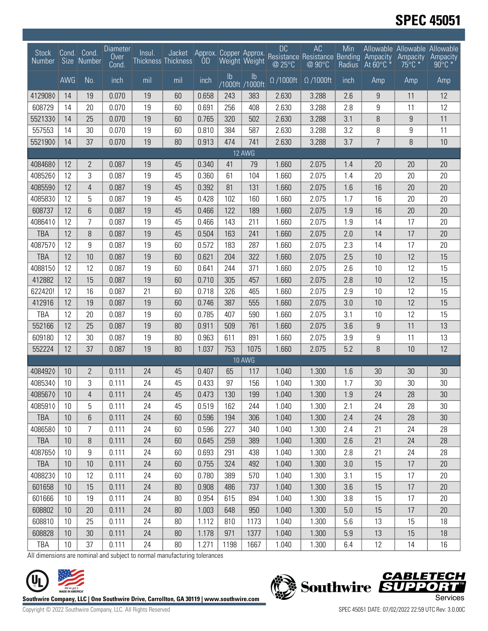# **SPEC 45051**

| <b>Stock</b><br><b>Number</b> |     | Cond. Cond.<br>Size Number | <b>Diameter</b><br>Over<br>Cond. | Insul. | Jacket<br>Thickness Thickness |       |                | Weight Weight                    | <b>DC</b><br>@ 25°C | AC<br>Approx. Copper Approx. Resistance Resistance Bending Ampacity<br>@ 90°C | Min<br>Radius | At $60^{\circ}$ C | Allowable Allowable Allowable<br>Ampacity<br>$75^{\circ}$ C $*$ | Ampacity<br>$90^{\circ}$ C $*$ |
|-------------------------------|-----|----------------------------|----------------------------------|--------|-------------------------------|-------|----------------|----------------------------------|---------------------|-------------------------------------------------------------------------------|---------------|-------------------|-----------------------------------------------------------------|--------------------------------|
|                               | AWG | No.                        | inch                             | mil    | mil                           | inch  | I <sub>b</sub> | $\mathsf{lb}$<br>/1000ft /1000ft | $\Omega$ /1000ft    | $\Omega$ /1000ft                                                              | inch          | Amp               | Amp                                                             | Amp                            |
| 4129080                       | 14  | 19                         | 0.070                            | 19     | 60                            | 0.658 | 243            | 383                              | 2.630               | 3.288                                                                         | 2.6           | 9                 | 11                                                              | 12                             |
| 608729                        | 14  | 20                         | 0.070                            | 19     | 60                            | 0.691 | 256            | 408                              | 2.630               | 3.288                                                                         | 2.8           | 9                 | 11                                                              | 12                             |
| 5521330                       | 14  | 25                         | 0.070                            | 19     | 60                            | 0.765 | 320            | 502                              | 2.630               | 3.288                                                                         | 3.1           | 8                 | 9                                                               | 11                             |
| 557553                        | 14  | 30                         | 0.070                            | 19     | 60                            | 0.810 | 384            | 587                              | 2.630               | 3.288                                                                         | 3.2           | 8                 | 9                                                               | 11                             |
| 5521900                       | 14  | 37                         | 0.070                            | 19     | 80                            | 0.913 | 474            | 741                              | 2.630               | 3.288                                                                         | 3.7           | $\overline{7}$    | 8                                                               | 10                             |
| 12 AWG                        |     |                            |                                  |        |                               |       |                |                                  |                     |                                                                               |               |                   |                                                                 |                                |
| 4084680                       | 12  | 2                          | 0.087                            | 19     | 45                            | 0.340 | 41             | 79                               | 1.660               | 2.075                                                                         | 1.4           | 20                | 20                                                              | 20                             |
| 4085260                       | 12  | 3                          | 0.087                            | 19     | 45                            | 0.360 | 61             | 104                              | 1.660               | 2.075                                                                         | 1.4           | 20                | 20                                                              | 20                             |
| 4085590                       | 12  | 4                          | 0.087                            | 19     | 45                            | 0.392 | 81             | 131                              | 1.660               | 2.075                                                                         | 1.6           | 16                | 20                                                              | 20                             |
| 4085830                       | 12  | 5                          | 0.087                            | 19     | 45                            | 0.428 | 102            | 160                              | 1.660               | 2.075                                                                         | 1.7           | 16                | 20                                                              | 20                             |
| 608737                        | 12  | 6                          | 0.087                            | 19     | 45                            | 0.466 | 122            | 189                              | 1.660               | 2.075                                                                         | 1.9           | 16                | 20                                                              | 20                             |
| 4086410                       | 12  | 7                          | 0.087                            | 19     | 45                            | 0.466 | 143            | 211                              | 1.660               | 2.075                                                                         | 1.9           | 14                | 17                                                              | 20                             |
| <b>TBA</b>                    | 12  | 8                          | 0.087                            | 19     | 45                            | 0.504 | 163            | 241                              | 1.660               | 2.075                                                                         | 2.0           | 14                | 17                                                              | 20                             |
| 4087570                       | 12  | 9                          | 0.087                            | 19     | 60                            | 0.572 | 183            | 287                              | 1.660               | 2.075                                                                         | 2.3           | 14                | 17                                                              | 20                             |
| <b>TBA</b>                    | 12  | 10                         | 0.087                            | 19     | 60                            | 0.621 | 204            | 322                              | 1.660               | 2.075                                                                         | 2.5           | 10                | 12                                                              | 15                             |
| 4088150                       | 12  | 12                         | 0.087                            | 19     | 60                            | 0.641 | 244            | 371                              | 1.660               | 2.075                                                                         | 2.6           | 10                | 12                                                              | 15                             |
| 412882                        | 12  | 15                         | 0.087                            | 19     | 60                            | 0.710 | 305            | 457                              | 1.660               | 2.075                                                                         | 2.8           | 10                | 12                                                              | 15                             |
| 622420!                       | 12  | 16                         | 0.087                            | 21     | 60                            | 0.718 | 326            | 465                              | 1.660               | 2.075                                                                         | 2.9           | 10                | 12                                                              | 15                             |
| 412916                        | 12  | 19                         | 0.087                            | 19     | 60                            | 0.746 | 387            | 555                              | 1.660               | 2.075                                                                         | 3.0           | 10                | 12                                                              | 15                             |
| <b>TBA</b>                    | 12  | 20                         | 0.087                            | 19     | 60                            | 0.785 | 407            | 590                              | 1.660               | 2.075                                                                         | 3.1           | 10                | 12                                                              | 15                             |
| 552166                        | 12  | 25                         | 0.087                            | 19     | 80                            | 0.911 | 509            | 761                              | 1.660               | 2.075                                                                         | 3.6           | $\boldsymbol{9}$  | 11                                                              | 13                             |
| 609180                        | 12  | 30                         | 0.087                            | 19     | 80                            | 0.963 | 611            | 891                              | 1.660               | 2.075                                                                         | 3.9           | 9                 | 11                                                              | 13                             |
| 552224                        | 12  | 37                         | 0.087                            | 19     | 80                            | 1.037 | 753            | 1075                             | 1.660               | 2.075                                                                         | 5.2           | 8                 | 10                                                              | 12                             |
|                               |     |                            |                                  |        |                               |       |                | <b>10 AWG</b>                    |                     |                                                                               |               |                   |                                                                 |                                |
| 4084920                       | 10  | 2                          | 0.111                            | 24     | 45                            | 0.407 | 65             | 117                              | 1.040               | 1.300                                                                         | 1.6           | 30                | 30                                                              | 30                             |
| 4085340                       | 10  | 3                          | 0.111                            | 24     | 45                            | 0.433 | 97             | 156                              | 1.040               | 1.300                                                                         | 1.7           | 30                | 30                                                              | 30                             |
| 4085670                       | 10  | 4                          | 0.111                            | 24     | 45                            | 0.473 | 130            | 199                              | 1.040               | 1.300                                                                         | 1.9           | 24                | 28                                                              | 30                             |
| 4085910                       | 10  | 5                          | 0.111                            | 24     | 45                            | 0.519 | 162            | 244                              | 1.040               | 1.300                                                                         | 2.1           | 24                | 28                                                              | 30                             |
| <b>TBA</b>                    | 10  | 6                          | 0.111                            | 24     | 60                            | 0.596 | 194            | 306                              | 1.040               | 1.300                                                                         | 2.4           | 24                | 28                                                              | 30                             |
| 4086580                       | 10  | 7                          | 0.111                            | 24     | 60                            | 0.596 | 227            | 340                              | 1.040               | 1.300                                                                         | 2.4           | 21                | 24                                                              | 28                             |
| <b>TBA</b>                    | 10  | 8                          | 0.111                            | 24     | 60                            | 0.645 | 259            | 389                              | 1.040               | 1.300                                                                         | 2.6           | 21                | 24                                                              | 28                             |
| 4087650                       | 10  | 9                          | 0.111                            | 24     | 60                            | 0.693 | 291            | 438                              | 1.040               | 1.300                                                                         | 2.8           | 21                | 24                                                              | 28                             |
| <b>TBA</b>                    | 10  | 10                         | 0.111                            | 24     | 60                            | 0.755 | 324            | 492                              | 1.040               | 1.300                                                                         | 3.0           | 15                | 17                                                              | 20                             |
| 4088230                       | 10  | 12                         | 0.111                            | 24     | 60                            | 0.780 | 389            | 570                              | 1.040               | 1.300                                                                         | 3.1           | 15                | 17                                                              | 20                             |
| 601658                        | 10  | 15                         | 0.111                            | 24     | 80                            | 0.908 | 486            | 737                              | 1.040               | 1.300                                                                         | 3.6           | 15                | 17                                                              | 20                             |
| 601666                        | 10  | 19                         | 0.111                            | 24     | 80                            | 0.954 | 615            | 894                              | 1.040               | 1.300                                                                         | 3.8           | 15                | 17                                                              | 20                             |
| 608802                        | 10  | 20                         | 0.111                            | 24     | 80                            | 1.003 | 648            | 950                              | 1.040               | 1.300                                                                         | 5.0           | 15                | 17                                                              | 20                             |
| 608810                        | 10  | 25                         | 0.111                            | 24     | 80                            | 1.112 | 810            | 1173                             | 1.040               | 1.300                                                                         | 5.6           | 13                | 15                                                              | 18                             |
| 608828                        | 10  | 30                         | 0.111                            | 24     | 80                            | 1.178 | 971            | 1377                             | 1.040               | 1.300                                                                         | 5.9           | 13                | 15                                                              | 18                             |
| <b>TBA</b>                    | 10  | 37                         | 0.111                            | 24     | $80\,$                        | 1.271 | 1198           | 1667                             | 1.040               | 1.300                                                                         | 6.4           | 12                | 14                                                              | 16                             |

All dimensions are nominal and subject to normal manufacturing tolerances